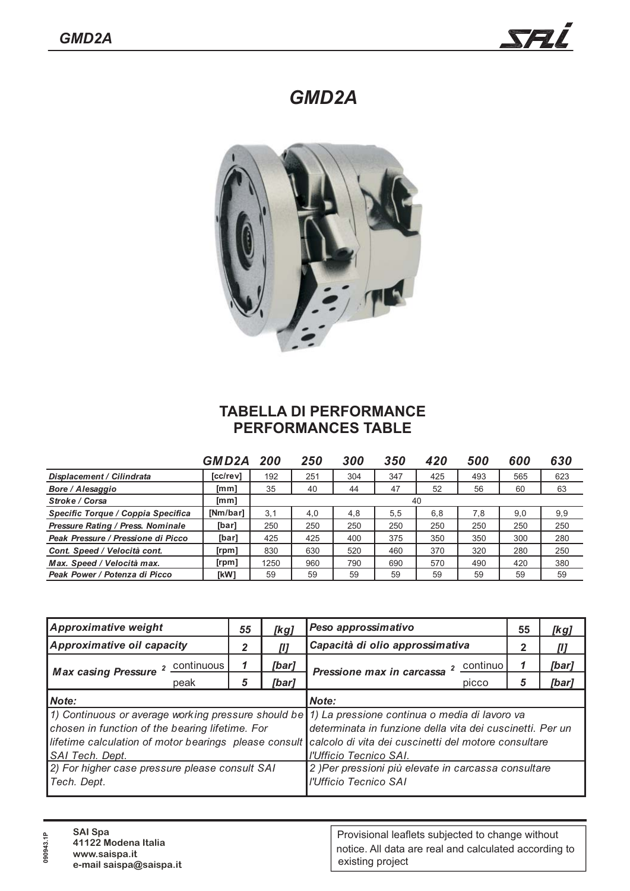*GMD2A*



## **TABELLA DI PERFORMANCE PERFORMANCES TABLE**

|                                          | GMD2A           | -200 | 250 | 300 | 350 | 420 | <i><b>500</b></i> | 600 | 630 |
|------------------------------------------|-----------------|------|-----|-----|-----|-----|-------------------|-----|-----|
| Displacement / Cilindrata                | [cc/rev]        | 192  | 251 | 304 | 347 | 425 | 493               | 565 | 623 |
| Bore / Alesaggio                         | [mm]            | 35   | 40  | 44  | 47  | 52  | 56                | 60  | 63  |
| Stroke / Corsa                           | [mm]            | 40   |     |     |     |     |                   |     |     |
| Specific Torque / Coppia Specifica       | <b>INm/barl</b> | 3.1  | 4,0 | 4,8 | 5.5 | 6.8 | 7,8               | 9,0 | 9,9 |
| <b>Pressure Rating / Press. Nominale</b> | [bar]           | 250  | 250 | 250 | 250 | 250 | 250               | 250 | 250 |
| Peak Pressure / Pressione di Picco       | [bar]           | 425  | 425 | 400 | 375 | 350 | 350               | 300 | 280 |
| Cont. Speed / Velocità cont.             | $[$ rpm $]$     | 830  | 630 | 520 | 460 | 370 | 320               | 280 | 250 |
| Max. Speed / Velocità max.               | [ <i>rpm</i> ]  | 1250 | 960 | 790 | 690 | 570 | 490               | 420 | 380 |
| Peak Power / Potenza di Picco            | [kW]            | 59   | 59  | 59  | 59  | 59  | 59                | 59  | 59  |

| <b>Approximative weight</b>                                        | 55 | [kg]  | Peso approssimativo                                                                                                                                                                                                                                                                                    | 55 | [kg]  |  |  |
|--------------------------------------------------------------------|----|-------|--------------------------------------------------------------------------------------------------------------------------------------------------------------------------------------------------------------------------------------------------------------------------------------------------------|----|-------|--|--|
| Approximative oil capacity                                         |    |       | Capacità di olio approssimativa                                                                                                                                                                                                                                                                        | 2  |       |  |  |
| Max casing Pressure 2 Continuous                                   |    | [bar] | 2 continuo<br>Pressione max in carcassa                                                                                                                                                                                                                                                                | 1  | [bar] |  |  |
| peak                                                               | 5  | [bar] | picco                                                                                                                                                                                                                                                                                                  | 5  | [bar] |  |  |
| Note:                                                              |    |       | Note:                                                                                                                                                                                                                                                                                                  |    |       |  |  |
| chosen in function of the bearing lifetime. For<br>SAI Tech. Dept. |    |       | 1) Continuous or average working pressure should be 1) La pressione continua o media di lavoro va<br>determinata in funzione della vita dei cuscinetti. Per un<br>lifetime calculation of motor bearings please consult calcolo di vita dei cuscinetti del motore consultare<br>l'Ufficio Tecnico SAI. |    |       |  |  |
| 2) For higher case pressure please consult SAI<br>Tech. Dept.      |    |       | 2) Per pressioni più elevate in carcassa consultare<br>l'Ufficio Tecnico SAI                                                                                                                                                                                                                           |    |       |  |  |

| ຶ<br>090 | <b>SAI Spa</b><br>41122 Modena Italia<br>www.saispa.it<br>e-mail saispa@saispa.it | Provisional leaflets subjected to change without<br>notice. All data are real and calculated according to<br>existing project |
|----------|-----------------------------------------------------------------------------------|-------------------------------------------------------------------------------------------------------------------------------|